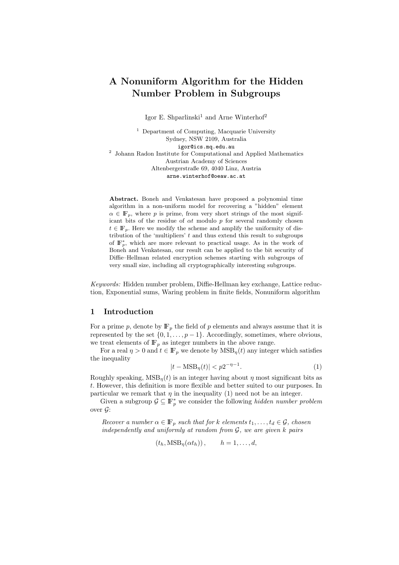# A Nonuniform Algorithm for the Hidden Number Problem in Subgroups

Igor E. Shparlinski<sup>1</sup> and Arne Winterhof<sup>2</sup>

<sup>1</sup> Department of Computing, Macquarie University Sydney, NSW 2109, Australia igor@ics.mq.edu.au <sup>2</sup> Johann Radon Institute for Computational and Applied Mathematics Austrian Academy of Sciences Altenbergerstraße 69, 4040 Linz, Austria arne.winterhof@oeaw.ac.at

Abstract. Boneh and Venkatesan have proposed a polynomial time algorithm in a non-uniform model for recovering a "hidden" element  $\alpha \in \mathbb{F}_p$ , where p is prime, from very short strings of the most significant bits of the residue of  $\alpha t$  modulo p for several randomly chosen  $t \in \mathbb{F}_n$ . Here we modify the scheme and amplify the uniformity of distribution of the 'multipliers'  $t$  and thus extend this result to subgroups of  $\mathbb{F}_p^*$ , which are more relevant to practical usage. As in the work of Boneh and Venkatesan, our result can be applied to the bit security of Diffie–Hellman related encryption schemes starting with subgroups of very small size, including all cryptographically interesting subgroups.

Keywords: Hidden number problem, Diffie-Hellman key exchange, Lattice reduction, Exponential sums, Waring problem in finite fields, Nonuniform algorithm

#### 1 Introduction

For a prime p, denote by  $\mathbb{F}_p$  the field of p elements and always assume that it is represented by the set  $\{0, 1, \ldots, p-1\}$ . Accordingly, sometimes, where obvious, we treat elements of  $\mathbb{F}_p$  as integer numbers in the above range.

For a real  $\eta > 0$  and  $t \in \mathbb{F}_p$  we denote by  $\text{MSB}_n(t)$  any integer which satisfies the inequality

$$
|t - \text{MSB}_{\eta}(t)| < p2^{-\eta - 1}.\tag{1}
$$

Roughly speaking,  $MSB_n(t)$  is an integer having about  $\eta$  most significant bits as t. However, this definition is more flexible and better suited to our purposes. In particular we remark that  $\eta$  in the inequality (1) need not be an integer.

Given a subgroup  $\mathcal{G} \subseteq \mathbb{F}_p^*$  we consider the following hidden number problem over  $\mathcal{G}$ :

Recover a number  $\alpha \in \mathbb{F}_p$  such that for k elements  $t_1, \ldots, t_d \in \mathcal{G}$ , chosen independently and uniformly at random from  $G$ , we are given k pairs

$$
(t_h, \text{MSB}_{\eta}(\alpha t_h)), \qquad h = 1, \dots, d,
$$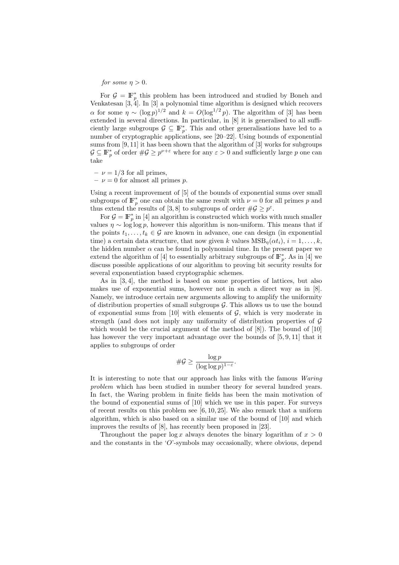for some  $\eta > 0$ .

For  $\mathcal{G} = \mathbb{F}_p^*$  this problem has been introduced and studied by Boneh and Venkatesan [3, 4]. In [3] a polynomial time algorithm is designed which recovers  $\alpha$  for some  $\eta \sim (\log p)^{1/2}$  and  $k = O(\log^{1/2} p)$ . The algorithm of [3] has been extended in several directions. In particular, in [8] it is generalised to all sufficiently large subgroups  $\mathcal{G} \subseteq \mathbb{F}_p^*$ . This and other generalisations have led to a number of cryptographic applications, see [20–22]. Using bounds of exponential sums from [9, 11] it has been shown that the algorithm of [3] works for subgroups  $\mathcal{G} \subseteq \mathbb{F}_p^*$  of order  $\#\mathcal{G} \geq p^{\nu+\varepsilon}$  where for any  $\varepsilon > 0$  and sufficiently large p one can take

- $-\nu = 1/3$  for all primes,
- $-\nu = 0$  for almost all primes p.

Using a recent improvement of [5] of the bounds of exponential sums over small subgroups of  $\mathbb{F}_p^*$  one can obtain the same result with  $\nu = 0$  for all primes p and thus extend the results of [3, 8] to subgroups of order  $\#\mathcal{G} \geq p^{\varepsilon}$ .

For  $\mathcal{G} = \mathbb{F}_p^*$  in [4] an algorithm is constructed which works with much smaller values  $\eta \sim \log \log p$ , however this algorithm is non-uniform. This means that if the points  $t_1, \ldots, t_k \in \mathcal{G}$  are known in advance, one can design (in exponential time) a certain data structure, that now given k values  $\text{MSB}_n(\alpha t_i), i = 1, \ldots, k$ , the hidden number  $\alpha$  can be found in polynomial time. In the present paper we extend the algorithm of [4] to essentially arbitrary subgroups of  $\mathbb{F}_p^*$ . As in [4] we discuss possible applications of our algorithm to proving bit security results for several exponentiation based cryptographic schemes.

As in [3, 4], the method is based on some properties of lattices, but also makes use of exponential sums, however not in such a direct way as in [8]. Namely, we introduce certain new arguments allowing to amplify the uniformity of distribution properties of small subgroups  $\mathcal G$ . This allows us to use the bound of exponential sums from  $[10]$  with elements of  $G$ , which is very moderate in strength (and does not imply any uniformity of distribution properties of  $\mathcal G$ which would be the crucial argument of the method of [8]). The bound of [10] has however the very important advantage over the bounds of [5, 9, 11] that it applies to subgroups of order

$$
\#\mathcal{G}\geq \frac{\log p}{(\log\log p)^{1-\varepsilon}}.
$$

It is interesting to note that our approach has links with the famous Waring problem which has been studied in number theory for several hundred years. In fact, the Waring problem in finite fields has been the main motivation of the bound of exponential sums of [10] which we use in this paper. For surveys of recent results on this problem see [6, 10, 25]. We also remark that a uniform algorithm, which is also based on a similar use of the bound of [10] and which improves the results of [8], has recently been proposed in [23].

Throughout the paper  $\log x$  always denotes the binary logarithm of  $x > 0$ and the constants in the  $O$ -symbols may occasionally, where obvious, depend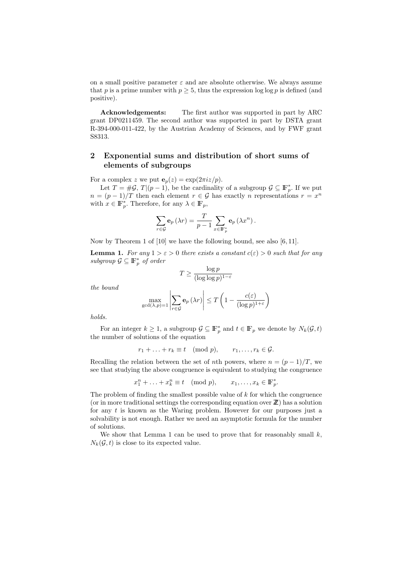on a small positive parameter  $\varepsilon$  and are absolute otherwise. We always assume that p is a prime number with  $p \geq 5$ , thus the expression log log p is defined (and positive).

Acknowledgements: The first author was supported in part by ARC grant DP0211459. The second author was supported in part by DSTA grant R-394-000-011-422, by the Austrian Academy of Sciences, and by FWF grant S8313.

## 2 Exponential sums and distribution of short sums of elements of subgroups

For a complex z we put  $\mathbf{e}_p(z) = \exp(2\pi i z/p)$ .

Let  $T = \#\mathcal{G}, T|(p-1)$ , be the cardinality of a subgroup  $\mathcal{G} \subseteq \mathbb{F}_{p}^{*}$ . If we put  $n = (p-1)/T$  then each element  $r \in \mathcal{G}$  has exactly n representations  $r = x^n$ with  $x \in \mathbb{F}_p^*$ . Therefore, for any  $\lambda \in \mathbb{F}_p$ ,

$$
\sum_{r \in \mathcal{G}} \mathbf{e}_p \left( \lambda r \right) = \frac{T}{p-1} \sum_{x \in \mathbb{F}_p^*} \mathbf{e}_p \left( \lambda x^n \right).
$$

Now by Theorem 1 of [10] we have the following bound, see also [6, 11].

**Lemma 1.** For any  $1 > \varepsilon > 0$  there exists a constant  $c(\varepsilon) > 0$  such that for any subgroup  $\mathcal{G} \subseteq \mathbb{F}_p^*$  of order

$$
T \ge \frac{\log p}{(\log \log p)^{1-\varepsilon}}
$$

the bound

$$
\max_{\gcd(\lambda, p)=1} \left| \sum_{r \in \mathcal{G}} \mathbf{e}_p(\lambda r) \right| \le T \left( 1 - \frac{c(\varepsilon)}{(\log p)^{1+\varepsilon}} \right)
$$

holds.

For an integer  $k \geq 1$ , a subgroup  $\mathcal{G} \subseteq \mathbb{F}_p^*$  and  $t \in \mathbb{F}_p$  we denote by  $N_k(\mathcal{G}, t)$ the number of solutions of the equation

$$
r_1 + \ldots + r_k \equiv t \pmod{p}, \qquad r_1, \ldots, r_k \in \mathcal{G}.
$$

Recalling the relation between the set of nth powers, where  $n = (p-1)/T$ , we see that studying the above congruence is equivalent to studying the congruence

$$
x_1^n + \ldots + x_k^n \equiv t \pmod{p}, \qquad x_1, \ldots, x_k \in \mathbb{F}_p^*.
$$

The problem of finding the smallest possible value of  $k$  for which the congruence (or in more traditional settings the corresponding equation over  $\mathbb{Z}$ ) has a solution for any t is known as the Waring problem. However for our purposes just a solvability is not enough. Rather we need an asymptotic formula for the number of solutions.

We show that Lemma 1 can be used to prove that for reasonably small  $k$ ,  $N_k(\mathcal{G}, t)$  is close to its expected value.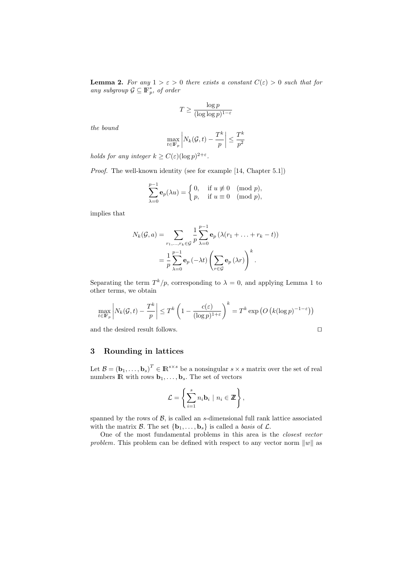**Lemma 2.** For any  $1 > \varepsilon > 0$  there exists a constant  $C(\varepsilon) > 0$  such that for any subgroup  $\mathcal{G} \subseteq \mathbb{F}_p^*$ , of order

$$
T \ge \frac{\log p}{(\log \log p)^{1-\varepsilon}}
$$

the bound

$$
\max_{t\in\mathbb{F}_p}\bigg|N_k(\mathcal{G},t)-\frac{T^k}{p}\bigg|\leq \frac{T^k}{p^2}
$$

holds for any integer  $k \geq C(\varepsilon)(\log p)^{2+\varepsilon}$ .

Proof. The well-known identity (see for example [14, Chapter 5.1])

$$
\sum_{\lambda=0}^{p-1} \mathbf{e}_p(\lambda u) = \begin{cases} 0, & \text{if } u \not\equiv 0 \pmod{p}, \\ p, & \text{if } u \equiv 0 \pmod{p}, \end{cases}
$$

implies that

$$
N_k(\mathcal{G}, a) = \sum_{r_1, \dots, r_k \in \mathcal{G}} \frac{1}{p} \sum_{\lambda=0}^{p-1} \mathbf{e}_p \left( \lambda (r_1 + \dots + r_k - t) \right)
$$
  
= 
$$
\frac{1}{p} \sum_{\lambda=0}^{p-1} \mathbf{e}_p \left( -\lambda t \right) \left( \sum_{r \in \mathcal{G}} \mathbf{e}_p \left( \lambda r \right) \right)^k.
$$

Separating the term  $T^k/p$ , corresponding to  $\lambda = 0$ , and applying Lemma 1 to other terms, we obtain

$$
\max_{t \in \mathbb{F}_p} \left| N_k(\mathcal{G}, t) - \frac{T^k}{p} \right| \le T^k \left( 1 - \frac{c(\varepsilon)}{(\log p)^{1+\varepsilon}} \right)^k = T^k \exp\left( O\left( k (\log p)^{-1-\varepsilon} \right) \right)
$$

and the desired result follows.  $\Box$ 

$$
\overline{a}
$$

## 3 Rounding in lattices

Let  $\mathcal{B} = (\mathbf{b}_1, \ldots, \mathbf{b}_s)^T \in \mathbb{R}^{s \times s}$  be a nonsingular  $s \times s$  matrix over the set of real numbers  $\mathbb{R}$  with rows  $\mathbf{b}_1, \ldots, \mathbf{b}_s$ . The set of vectors

$$
\mathcal{L} = \left\{ \sum_{i=1}^s n_i \mathbf{b}_i \mid n_i \in \mathbb{Z} \right\},\
$$

spanned by the rows of  $\beta$ , is called an s-dimensional full rank lattice associated with the matrix  $\mathcal{B}$ . The set  $\{b_1, \ldots, b_s\}$  is called a *basis* of  $\mathcal{L}$ .

One of the most fundamental problems in this area is the closest vector problem. This problem can be defined with respect to any vector norm  $||w||$  as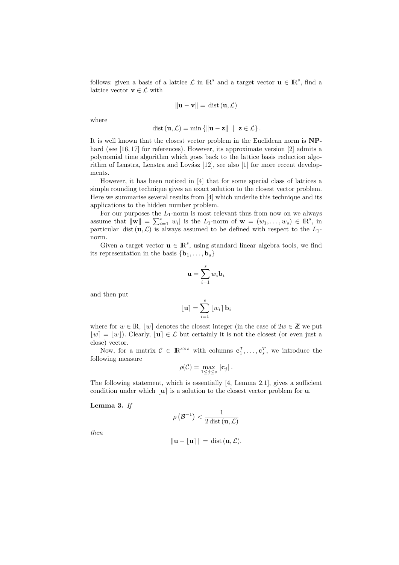follows: given a basis of a lattice  $\mathcal L$  in  $\mathbb R^s$  and a target vector  $\mathbf u \in \mathbb R^s$ , find a lattice vector  $\mathbf{v} \in \mathcal{L}$  with

$$
\|\mathbf{u} - \mathbf{v}\| = \text{dist}\left(\mathbf{u}, \mathcal{L}\right)
$$

where

$$
\text{dist}\left(\mathbf{u}, \mathcal{L}\right) = \min \left\{ \left\| \mathbf{u} - \mathbf{z} \right\| \ \middle| \ \mathbf{z} \in \mathcal{L} \right\}.
$$

It is well known that the closest vector problem in the Euclidean norm is NPhard (see [16, 17] for references). However, its approximate version [2] admits a polynomial time algorithm which goes back to the lattice basis reduction algorithm of Lenstra, Lenstra and Lovász [12], see also [1] for more recent developments.

However, it has been noticed in [4] that for some special class of lattices a simple rounding technique gives an exact solution to the closest vector problem. Here we summarise several results from [4] which underlie this technique and its applications to the hidden number problem.

For our purposes the  $L_1$ -norm is most relevant thus from now on we always assume that  $\|\mathbf{w}\| = \sum_{i=1}^s |w_i|$  is the  $L_1$ -norm of  $\mathbf{w} = (w_1, \dots, w_s) \in \mathbb{R}^s$ , in particular dist  $(\mathbf{u}, \mathcal{L})$  is always assumed to be defined with respect to the  $L_1$ norm.

Given a target vector  $\mathbf{u} \in \mathbb{R}^s$ , using standard linear algebra tools, we find its representation in the basis  $\{b_1, \ldots, b_s\}$ 

$$
\mathbf{u} = \sum_{i=1}^{s} w_i \mathbf{b}_i
$$

and then put

$$
\lfloor \mathbf{u} \rceil = \sum_{i=1}^{s} \lfloor w_i \rceil \, \mathbf{b}_i
$$

where for  $w \in \mathbb{R}$ ,  $|w|$  denotes the closest integer (in the case of  $2w \in \mathbb{Z}$  we put  $|w| = |w|$ ). Clearly,  $|u| \in \mathcal{L}$  but certainly it is not the closest (or even just a close) vector.

Now, for a matrix  $C \in \mathbb{R}^{s \times s}$  with columns  $\mathbf{c}_1^T, \ldots, \mathbf{c}_s^T$ , we introduce the following measure

$$
\rho(\mathcal{C}) = \max_{1 \leq j \leq s} \|\mathbf{c}_j\|.
$$

The following statement, which is essentially [4, Lemma 2.1], gives a sufficient condition under which  $|\mathbf{u}|$  is a solution to the closest vector problem for **u**.

Lemma 3. If

$$
\rho\left(\mathcal{B}^{-1}\right) < \frac{1}{2\operatorname{dist}\left(\mathbf{u},\mathcal{L}\right)}
$$

then

$$
\|\mathbf{u} - \mathbf{u}\| = \text{dist}(\mathbf{u}, \mathcal{L}).
$$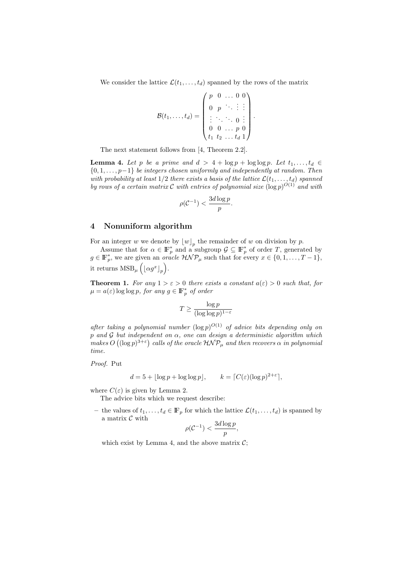We consider the lattice  $\mathcal{L}(t_1, \ldots, t_d)$  spanned by the rows of the matrix

$$
\mathcal{B}(t_1,\ldots,t_d)=\left(\begin{array}{cccc}p&0&\ldots&0&0\\0&p&\ddots&\vdots&\vdots\\ \vdots&\ddots&\ddots&0&\vdots\\0&0&\ldots&p&0\\t_1&t_2&\ldots&t_d&1\end{array}\right).
$$

The next statement follows from [4, Theorem 2.2].

**Lemma 4.** Let p be a prime and  $d > 4 + \log p + \log \log p$ . Let  $t_1, \ldots, t_d \in$  ${0, 1, \ldots, p-1}$  be integers chosen uniformly and independently at random. Then with probability at least  $1/2$  there exists a basis of the lattice  $\mathcal{L}(t_1, \ldots, t_d)$  spanned by rows of a certain matrix C with entries of polynomial size  $(\log p)^{O(1)}$  and with

$$
\rho(\mathcal{C}^{-1}) < \frac{3d\log p}{p}.
$$

#### 4 Nonuniform algorithm

For an integer w we denote by  $\lfloor w \rfloor_p$  the remainder of w on division by p.

Assume that for  $\alpha \in \mathbb{F}_p^*$  and a subgroup  $\mathcal{G} \subseteq \mathbb{F}_p^*$  of order T, generated by  $g \in \mathbb{F}_p^*$ , we are given an *oracle*  $\mathcal{H} \mathcal{NP}_\mu$  such that for every  $x \in \{0, 1, \ldots, T-1\}$ , it returns  $\text{MSB}_{\mu}\left( \lfloor \alpha g^x \rfloor_p \right)$ .

**Theorem 1.** For any  $1 > \varepsilon > 0$  there exists a constant  $a(\varepsilon) > 0$  such that, for  $\mu = a(\varepsilon) \log \log p$ , for any  $g \in \mathbb{F}_p^*$  of order

$$
T \ge \frac{\log p}{(\log \log p)^{1-\varepsilon}}
$$

after taking a polynomial number  $(\log p)^{O(1)}$  of advice bits depending only on p and G but independent on  $\alpha$ , one can design a deterministic algorithm which makes  $O((\log p)^{3+\varepsilon})$  calls of the oracle  $\mathcal{HNP}_\mu$  and then recovers  $\alpha$  in polynomial time.

Proof. Put

$$
d = 5 + |\log p + \log \log p|, \qquad k = \lceil C(\varepsilon)(\log p)^{2+\varepsilon} \rceil,
$$

where  $C(\varepsilon)$  is given by Lemma 2.

The advice bits which we request describe:

– the values of  $t_1, \ldots, t_d \in \mathbb{F}_p$  for which the lattice  $\mathcal{L}(t_1, \ldots, t_d)$  is spanned by a matrix  $\mathcal C$  with

$$
\rho(\mathcal{C}^{-1}) < \frac{3d\log p}{p},
$$

which exist by Lemma 4, and the above matrix  $\mathcal{C}$ ;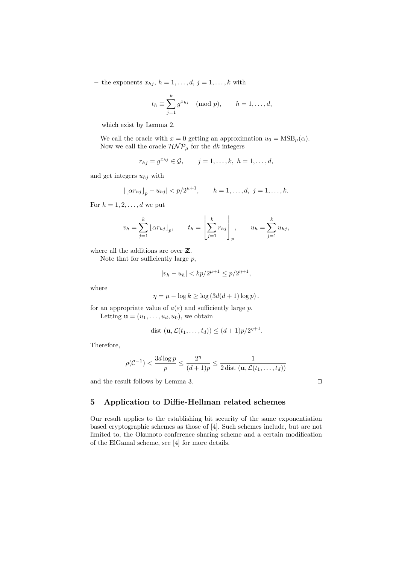– the exponents  $x_{hj}, h = 1, \ldots, d, j = 1, \ldots, k$  with

$$
t_h \equiv \sum_{j=1}^k g^{x_{hj}} \pmod{p}, \qquad h = 1, \dots, d,
$$

which exist by Lemma 2.

We call the oracle with  $x = 0$  getting an approximation  $u_0 = \text{MSB}_{\mu}(\alpha)$ . Now we call the oracle  $HNP<sub>\mu</sub>$  for the dk integers

$$
r_{hj} = g^{x_{hj}} \in G, \quad j = 1, ..., k, \ h = 1, ..., d,
$$

and get integers  $u_{hj}$  with

$$
|\lfloor \alpha r_{hj} \rfloor_p - u_{hj}| < p/2^{\mu+1}, \quad h = 1, \ldots, d, \ j = 1, \ldots, k.
$$

For  $h = 1, 2, \ldots, d$  we put

$$
v_h = \sum_{j=1}^k \lfloor \alpha r_{hj} \rfloor_p, \qquad t_h = \left[ \sum_{j=1}^k r_{hj} \right]_p, \qquad u_h = \sum_{j=1}^k u_{hj},
$$

where all the additions are over  $\mathbb{Z}$ .

Note that for sufficiently large  $p$ ,

$$
|v_h - u_h| < k p / 2^{\mu + 1} \le p / 2^{\eta + 1},
$$

where

$$
\eta = \mu - \log k \ge \log (3d(d+1)\log p).
$$

for an appropriate value of  $a(\varepsilon)$  and sufficiently large p. Letting  $\mathbf{u} = (u_1, \ldots, u_d, u_0)$ , we obtain

$$
\text{dist }(\mathbf{u}, \mathcal{L}(t_1, \dots, t_d)) \le (d+1)p/2^{\eta+1}.
$$

Therefore,

$$
\rho(\mathcal{C}^{-1}) < \frac{3d \log p}{p} \le \frac{2^{\eta}}{(d+1)p} \le \frac{1}{2 \text{ dist }(\mathbf{u}, \mathcal{L}(t_1, \dots, t_d))}
$$

and the result follows by Lemma 3.  $\Box$ 

## 5 Application to Diffie-Hellman related schemes

Our result applies to the establishing bit security of the same exponentiation based cryptographic schemes as those of [4]. Such schemes include, but are not limited to, the Okamoto conference sharing scheme and a certain modification of the ElGamal scheme, see [4] for more details.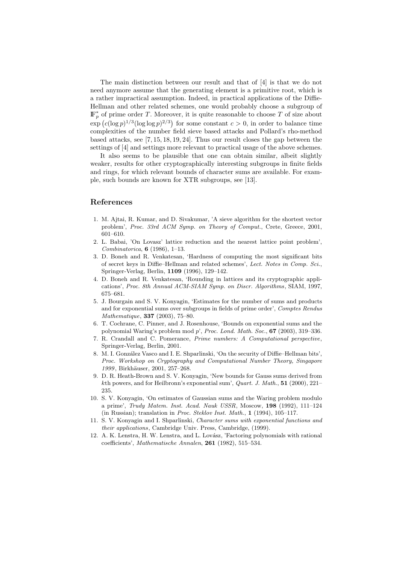The main distinction between our result and that of [4] is that we do not need anymore assume that the generating element is a primitive root, which is a rather impractical assumption. Indeed, in practical applications of the Diffie-Hellman and other related schemes, one would probably choose a subgroup of  $\mathbb{F}_p^*$  of prime order T. Moreover, it is quite reasonable to choose T of size about  $\exp\left(c(\log p)^{1/3}(\log \log p)^{2/3}\right)$  for some constant  $c > 0$ , in order to balance time complexities of the number field sieve based attacks and Pollard's rho-method based attacks, see [7, 15, 18, 19, 24]. Thus our result closes the gap between the settings of [4] and settings more relevant to practical usage of the above schemes.

It also seems to be plausible that one can obtain similar, albeit slightly weaker, results for other cryptographically interesting subgroups in finite fields and rings, for which relevant bounds of character sums are available. For example, such bounds are known for XTR subgroups, see [13].

#### References

- 1. M. Ajtai, R. Kumar, and D. Sivakumar, 'A sieve algorithm for the shortest vector problem', Proc. 33rd ACM Symp. on Theory of Comput., Crete, Greece, 2001, 601–610.
- 2. L. Babai, 'On Lovasz' lattice reduction and the nearest lattice point problem', Combinatorica, 6 (1986), 1–13.
- 3. D. Boneh and R. Venkatesan, 'Hardness of computing the most significant bits of secret keys in Diffie–Hellman and related schemes', Lect. Notes in Comp. Sci., Springer-Verlag, Berlin, 1109 (1996), 129–142.
- 4. D. Boneh and R. Venkatesan, 'Rounding in lattices and its cryptographic applications', Proc. 8th Annual ACM-SIAM Symp. on Discr. Algorithms, SIAM, 1997, 675–681.
- 5. J. Bourgain and S. V. Konyagin, 'Estimates for the number of sums and products and for exponential sums over subgroups in fields of prime order', Comptes Rendus Mathematique, 337 (2003), 75–80.
- 6. T. Cochrane, C. Pinner, and J. Rosenhouse, 'Bounds on exponential sums and the polynomial Waring's problem mod  $p'$ , Proc. Lond. Math. Soc.,  $67$  (2003), 319–336.
- 7. R. Crandall and C. Pomerance, Prime numbers: A Computational perspective, Springer-Verlag, Berlin, 2001.
- 8. M. I. González Vasco and I. E. Shparlinski, 'On the security of Diffie–Hellman bits', Proc. Workshop on Cryptography and Computational Number Theory, Singapore 1999, Birkhäuser, 2001, 257-268.
- 9. D. R. Heath-Brown and S. V. Konyagin, 'New bounds for Gauss sums derived from kth powers, and for Heilbronn's exponential sum', Quart. J. Math., 51 (2000), 221– 235.
- 10. S. V. Konyagin, 'On estimates of Gaussian sums and the Waring problem modulo a prime', Trudy Matem. Inst. Acad. Nauk USSR, Moscow, 198 (1992), 111–124 (in Russian); translation in Proc. Steklov Inst. Math., 1 (1994), 105–117.
- 11. S. V. Konyagin and I. Shparlinski, Character sums with exponential functions and their applications, Cambridge Univ. Press, Cambridge, (1999).
- 12. A. K. Lenstra, H. W. Lenstra, and L. Lovász, 'Factoring polynomials with rational coefficients', Mathematische Annalen, 261 (1982), 515–534.